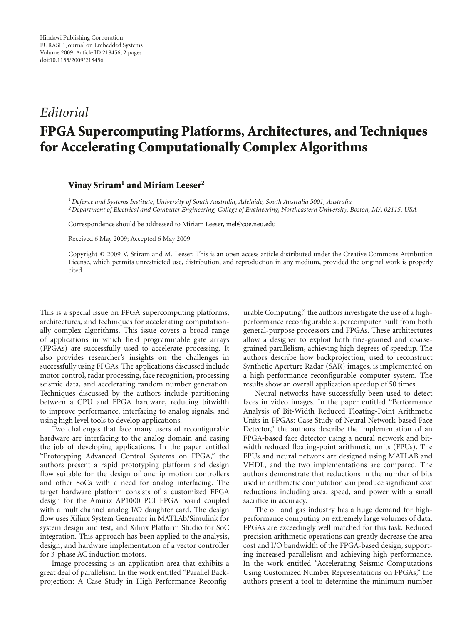## *Editorial* **FPGA Supercomputing Platforms, Architectures, and Techniques for Accelerating Computationally Complex Algorithms**

## **Vinay Sriram1 and Miriam Leeser2**

*1Defence and Systems Institute, University of South Australia, Adelaide, South Australia 5001, Australia 2Department of Electrical and Computer Engineering, College of Engineering, Northeastern University, Boston, MA 02115, USA*

Correspondence should be addressed to Miriam Leeser, mel@coe.neu.edu

Received 6 May 2009; Accepted 6 May 2009

Copyright © 2009 V. Sriram and M. Leeser. This is an open access article distributed under the Creative Commons Attribution License, which permits unrestricted use, distribution, and reproduction in any medium, provided the original work is properly cited.

This is a special issue on FPGA supercomputing platforms, architectures, and techniques for accelerating computationally complex algorithms. This issue covers a broad range of applications in which field programmable gate arrays (FPGAs) are successfully used to accelerate processing. It also provides researcher's insights on the challenges in successfully using FPGAs. The applications discussed include motor control, radar processing, face recognition, processing seismic data, and accelerating random number generation. Techniques discussed by the authors include partitioning between a CPU and FPGA hardware, reducing bitwidth to improve performance, interfacing to analog signals, and using high level tools to develop applications.

Two challenges that face many users of reconfigurable hardware are interfacing to the analog domain and easing the job of developing applications. In the paper entitled "Prototyping Advanced Control Systems on FPGA," the authors present a rapid prototyping platform and design flow suitable for the design of onchip motion controllers and other SoCs with a need for analog interfacing. The target hardware platform consists of a customized FPGA design for the Amirix AP1000 PCI FPGA board coupled with a multichannel analog I/O daughter card. The design flow uses Xilinx System Generator in MATLAb/Simulink for system design and test, and Xilinx Platform Studio for SoC integration. This approach has been applied to the analysis, design, and hardware implementation of a vector controller for 3-phase AC induction motors.

Image processing is an application area that exhibits a great deal of parallelism. In the work entitled "Parallel Backprojection: A Case Study in High-Performance Reconfig-

urable Computing," the authors investigate the use of a highperformance reconfigurable supercomputer built from both general-purpose processors and FPGAs. These architectures allow a designer to exploit both fine-grained and coarsegrained parallelism, achieving high degrees of speedup. The authors describe how backprojection, used to reconstruct Synthetic Aperture Radar (SAR) images, is implemented on a high-performance reconfigurable computer system. The results show an overall application speedup of 50 times.

Neural networks have successfully been used to detect faces in video images. In the paper entitled "Performance Analysis of Bit-Width Reduced Floating-Point Arithmetic Units in FPGAs: Case Study of Neural Network-based Face Detector," the authors describe the implementation of an FPGA-based face detector using a neural network and bitwidth reduced floating-point arithmetic units (FPUs). The FPUs and neural network are designed using MATLAB and VHDL, and the two implementations are compared. The authors demonstrate that reductions in the number of bits used in arithmetic computation can produce significant cost reductions including area, speed, and power with a small sacrifice in accuracy.

The oil and gas industry has a huge demand for highperformance computing on extremely large volumes of data. FPGAs are exceedingly well matched for this task. Reduced precision arithmetic operations can greatly decrease the area cost and I/O bandwidth of the FPGA-based design, supporting increased parallelism and achieving high performance. In the work entitled "Accelerating Seismic Computations Using Customized Number Representations on FPGAs," the authors present a tool to determine the minimum-number